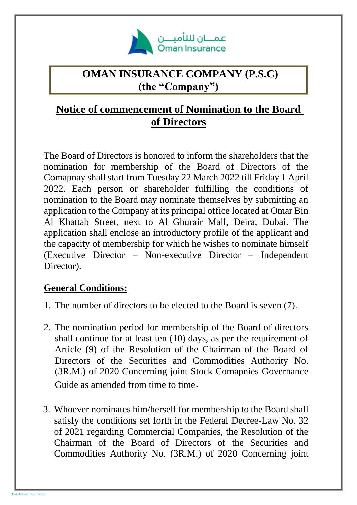

## **OMAN INSURANCE COMPANY (P.S.C) (the "Company")**

## **Notice of commencement of Nomination to the Board of Directors**

The Board of Directors is honored to inform the shareholders that the nomination for membership of the Board of Directors of the Comapnay shall start from Tuesday 22 March 2022 till Friday 1 April 2022. Each person or shareholder fulfilling the conditions of nomination to the Board may nominate themselves by submitting an application to the Company at its principal office located at Omar Bin Al Khattab Street, next to Al Ghurair Mall, Deira, Dubai. The application shall enclose an introductory profile of the applicant and the capacity of membership for which he wishes to nominate himself (Executive Director – Non-executive Director – Independent Director).

## **General Conditions:**

- 1. The number of directors to be elected to the Board is seven (7).
- 2. The nomination period for membership of the Board of directors shall continue for at least ten (10) days, as per the requirement of Article (9) of the Resolution of the Chairman of the Board of Directors of the Securities and Commodities Authority No. (3R.M.) of 2020 Concerning joint Stock Comapnies Governance Guide as amended from time to time.
- 3. Whoever nominates him/herself for membership to the Board shall satisfy the conditions set forth in the Federal Decree-Law No. 32 of 2021 regarding Commercial Companies, the Resolution of the Chairman of the Board of Directors of the Securities and Commodities Authority No. (3R.M.) of 2020 Concerning joint